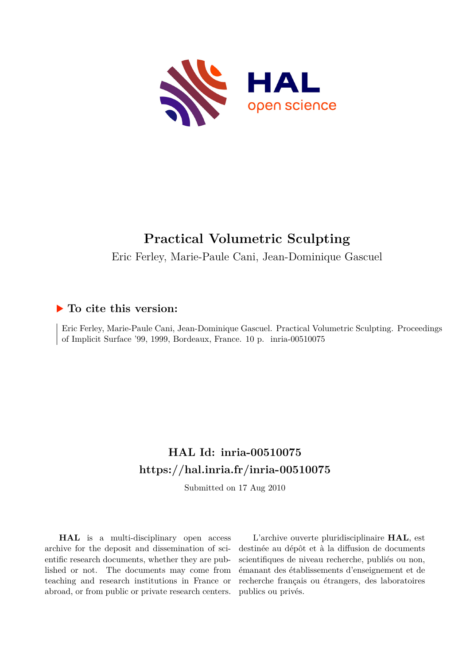

# **Practical Volumetric Sculpting**

Eric Ferley, Marie-Paule Cani, Jean-Dominique Gascuel

# **To cite this version:**

Eric Ferley, Marie-Paule Cani, Jean-Dominique Gascuel. Practical Volumetric Sculpting. Proceedings of Implicit Surface '99, 1999, Bordeaux, France. 10 p. inria-00510075

# **HAL Id: inria-00510075 <https://hal.inria.fr/inria-00510075>**

Submitted on 17 Aug 2010

**HAL** is a multi-disciplinary open access archive for the deposit and dissemination of scientific research documents, whether they are published or not. The documents may come from teaching and research institutions in France or abroad, or from public or private research centers.

L'archive ouverte pluridisciplinaire **HAL**, est destinée au dépôt et à la diffusion de documents scientifiques de niveau recherche, publiés ou non, émanant des établissements d'enseignement et de recherche français ou étrangers, des laboratoires publics ou privés.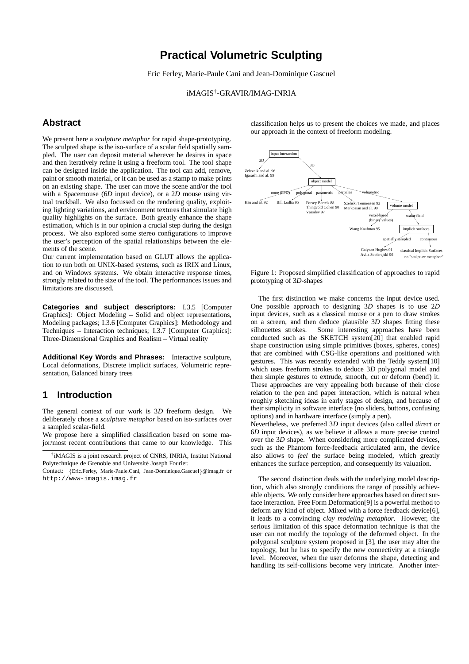# **Practical Volumetric Sculpting**

Eric Ferley, Marie-Paule Cani and Jean-Dominique Gascuel

iMAGIS† -GRAVIR/IMAG-INRIA

## **Abstract**

We present here a *sculpture metaphor* for rapid shape-prototyping. The sculpted shape is the iso-surface of a scalar field spatially sampled. The user can deposit material wherever he desires in space and then iteratively refine it using a freeform tool. The tool shape can be designed inside the application. The tool can add, remove, paint or smooth material, or it can be used as a stamp to make prints on an existing shape. The user can move the scene and/or the tool with a Spacemouse (6*D* input device), or a 2*D* mouse using virtual trackball. We also focussed on the rendering quality, exploiting lighting variations, and environment textures that simulate high quality highlights on the surface. Both greatly enhance the shape estimation, which is in our opinion a crucial step during the design process. We also explored some stereo configurations to improve the user's perception of the spatial relationships between the elements of the scene.

Our current implementation based on GLUT allows the application to run both on UNIX-based systems, such as IRIX and Linux, and on Windows systems. We obtain interactive response times, strongly related to the size of the tool. The performances issues and limitations are discussed.

**Categories and subject descriptors:** I.3.5 [Computer Graphics]: Object Modeling – Solid and object representations, Modeling packages; I.3.6 [Computer Graphics]: Methodology and Techniques – Interaction techniques; I.3.7 [Computer Graphics]: Three-Dimensional Graphics and Realism – Virtual reality

**Additional Key Words and Phrases:** Interactive sculpture, Local deformations, Discrete implicit surfaces, Volumetric representation, Balanced binary trees

#### **1 Introduction**

The general context of our work is 3*D* freeform design. We deliberately chose a *sculpture metaphor* based on iso-surfaces over a sampled scalar-field.

We propose here a simplified classification based on some major/most recent contributions that came to our knowledge. This

Contact: {Eric.Ferley, Marie-Paule.Cani, Jean-Dominique.Gascuel}@imag.fr or http://www-imagis.imag.fr

classification helps us to present the choices we made, and places our approach in the context of freeform modeling.



Figure 1: Proposed simplified classification of approaches to rapid prototyping of 3*D*-shapes

The first distinction we make concerns the input device used. One possible approach to designing 3*D* shapes is to use 2*D* input devices, such as a classical mouse or a pen to draw strokes on a screen, and then deduce plausible 3*D* shapes fitting these silhouettes strokes. Some interesting approaches have been conducted such as the SKETCH system[20] that enabled rapid shape construction using simple primitives (boxes, spheres, cones) that are combined with CSG-like operations and positioned with gestures. This was recently extended with the Teddy system[10] which uses freeform strokes to deduce 3*D* polygonal model and then simple gestures to extrude, smooth, cut or deform (bend) it. These approaches are very appealing both because of their close relation to the pen and paper interaction, which is natural when roughly sketching ideas in early stages of design, and because of their simplicity in software interface (no sliders, buttons, confusing options) and in hardware interface (simply a pen).

Nevertheless, we preferred 3*D* input devices (also called *direct* or 6*D* input devices), as we believe it allows a more precise control over the 3*D* shape. When considering more complicated devices, such as the Phantom force-feedback articulated arm, the device also allows to *feel* the surface being modeled, which greatly enhances the surface perception, and consequently its valuation.

The second distinction deals with the underlying model description, which also strongly conditions the range of possibly achievable objects. We only consider here approaches based on direct surface interaction. Free Form Deformation[9] is a powerful method to deform any kind of object. Mixed with a force feedback device[6], it leads to a convincing *clay modeling metaphor*. However, the serious limitation of this space deformation technique is that the user can not modify the topology of the deformed object. In the polygonal sculpture system proposed in [3], the user may alter the topology, but he has to specify the new connectivity at a triangle level. Moreover, when the user deforms the shape, detecting and handling its self-collisions become very intricate. Another inter-

<sup>†</sup> iMAGIS is a joint research project of CNRS, INRIA, Institut National Polytechnique de Grenoble and Université Joseph Fourier.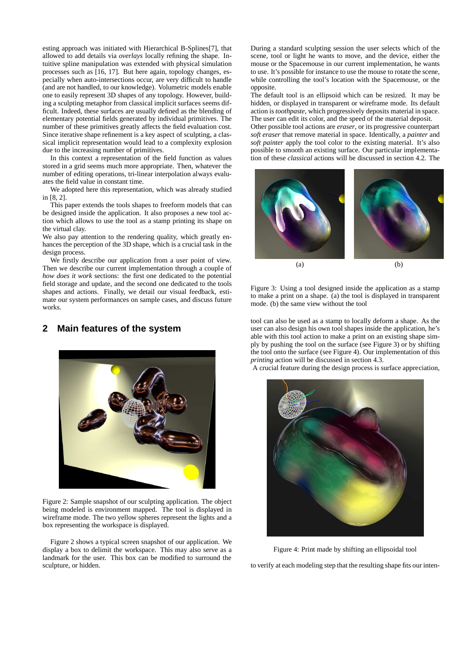esting approach was initiated with Hierarchical B-Splines[7], that allowed to add details via *overlays* locally refining the shape. Intuitive spline manipulation was extended with physical simulation processes such as [16, 17]. But here again, topology changes, especially when auto-intersections occur, are very difficult to handle (and are not handled, to our knowledge). Volumetric models enable one to easily represent 3D shapes of any topology. However, building a sculpting metaphor from classical implicit surfaces seems difficult. Indeed, these surfaces are usually defined as the blending of elementary potential fields generated by individual primitives. The number of these primitives greatly affects the field evaluation cost. Since iterative shape refinement is a key aspect of sculpting, a classical implicit representation would lead to a complexity explosion due to the increasing number of primitives.

In this context a representation of the field function as values stored in a grid seems much more appropriate. Then, whatever the number of editing operations, tri-linear interpolation always evaluates the field value in constant time.

We adopted here this representation, which was already studied in [8, 2].

This paper extends the tools shapes to freeform models that can be designed inside the application. It also proposes a new tool action which allows to use the tool as a stamp printing its shape on the virtual clay.

We also pay attention to the rendering quality, which greatly enhances the perception of the 3D shape, which is a crucial task in the design process.

We firstly describe our application from a user point of view. Then we describe our current implementation through a couple of *how does it work* sections: the first one dedicated to the potential field storage and update, and the second one dedicated to the tools shapes and actions. Finally, we detail our visual feedback, estimate our system performances on sample cases, and discuss future works.

## **2 Main features of the system**



Figure 2: Sample snapshot of our sculpting application. The object being modeled is environment mapped. The tool is displayed in wireframe mode. The two yellow spheres represent the lights and a box representing the workspace is displayed.

Figure 2 shows a typical screen snapshot of our application. We display a box to delimit the workspace. This may also serve as a landmark for the user. This box can be modified to surround the sculpture, or hidden.

During a standard sculpting session the user selects which of the scene, tool or light he wants to move, and the device, either the mouse or the Spacemouse in our current implementation, he wants to use. It's possible for instance to use the mouse to rotate the scene, while controlling the tool's location with the Spacemouse, or the opposite.

The default tool is an ellipsoid which can be resized. It may be hidden, or displayed in transparent or wireframe mode. Its default action is *toothpaste*, which progressively deposits material in space. The user can edit its color, and the speed of the material deposit.

Other possible tool actions are *eraser*, or its progressive counterpart *soft eraser* that remove material in space. Identically, a *painter* and *soft painter* apply the tool color to the existing material. It's also possible to smooth an existing surface. Our particular implementation of these *classical* actions will be discussed in section 4.2. The





tool can also be used as a stamp to locally deform a shape. As the user can also design his own tool shapes inside the application, he's able with this tool action to make a print on an existing shape simply by pushing the tool on the surface (see Figure 3) or by shifting the tool onto the surface (see Figure 4). Our implementation of this *printing* action will be discussed in section 4.3.

A crucial feature during the design process is surface appreciation,



Figure 4: Print made by shifting an ellipsoidal tool

to verify at each modeling step that the resulting shape fits our inten-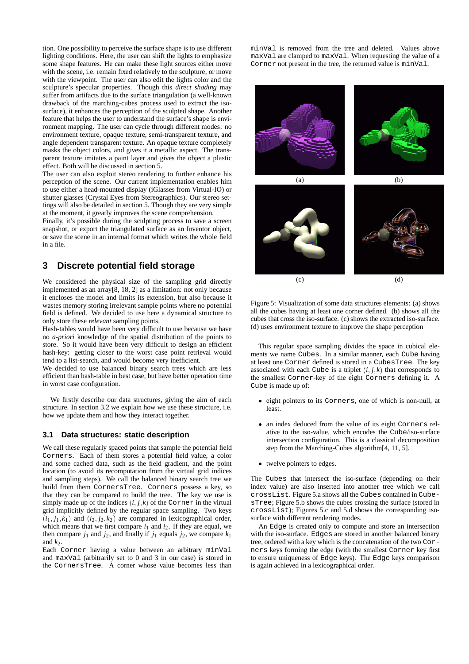tion. One possibility to perceive the surface shape is to use different lighting conditions. Here, the user can shift the lights to emphasize some shape features. He can make these light sources either move with the scene, i.e. remain fixed relatively to the sculpture, or move with the viewpoint. The user can also edit the lights color and the sculpture's specular properties. Though this *direct shading* may suffer from artifacts due to the surface triangulation (a well-known drawback of the marching-cubes process used to extract the isosurface), it enhances the perception of the sculpted shape. Another feature that helps the user to understand the surface's shape is environment mapping. The user can cycle through different modes: no environment texture, opaque texture, semi-transparent texture, and angle dependent transparent texture. An opaque texture completely masks the object colors, and gives it a metallic aspect. The transparent texture imitates a paint layer and gives the object a plastic effect. Both will be discussed in section 5.

The user can also exploit stereo rendering to further enhance his perception of the scene. Our current implementation enables him to use either a head-mounted display (iGlasses from Virtual-IO) or shutter glasses (Crystal Eyes from Stereographics). Our stereo settings will also be detailed in section 5. Though they are very simple at the moment, it greatly improves the scene comprehension.

Finally, it's possible during the sculpting process to save a screen snapshot, or export the triangulated surface as an Inventor object, or save the scene in an internal format which writes the whole field in a file.

## **3 Discrete potential field storage**

We considered the physical size of the sampling grid directly implemented as an array[8, 18, 2] as a limitation: not only because it encloses the model and limits its extension, but also because it wastes memory storing irrelevant sample points where no potential field is defined. We decided to use here a dynamical structure to only store these *relevant* sampling points.

Hash-tables would have been very difficult to use because we have no *a-priori* knowledge of the spatial distribution of the points to store. So it would have been very difficult to design an efficient hash-key: getting closer to the worst case point retrieval would tend to a list-search, and would become very inefficient.

We decided to use balanced binary search trees which are less efficient than hash-table in best case, but have better operation time in worst case configuration.

We firstly describe our data structures, giving the aim of each structure. In section 3.2 we explain how we use these structure, i.e. how we update them and how they interact together.

#### **3.1 Data structures: static description**

We call these regularly spaced points that sample the potential field Corners. Each of them stores a potential field value, a color and some cached data, such as the field gradient, and the point location (to avoid its recomputation from the virtual grid indices and sampling steps). We call the balanced binary search tree we build from them CornersTree. Corners possess a key, so that they can be compared to build the tree. The key we use is simply made up of the indices  $(i, j, k)$  of the Corner in the virtual grid implicitly defined by the regular space sampling. Two keys  $(i_1, j_1, k_1)$  and  $(i_2, j_2, k_2)$  are compared in lexicographical order, which means that we first compare  $i_1$  and  $i_2$ . If they are equal, we then compare  $j_1$  and  $j_2$ , and finally if  $j_1$  equals  $j_2$ , we compare  $k_1$ and  $k_2$ .

Each Corner having a value between an arbitrary minVal and maxVal (arbitrarily set to 0 and 3 in our case) is stored in the CornersTree. A corner whose value becomes less than minVal is removed from the tree and deleted. Values above maxVal are clamped to maxVal. When requesting the value of a Corner not present in the tree, the returned value is minVal.



Figure 5: Visualization of some data structures elements: (a) shows all the cubes having at least one corner defined. (b) shows all the cubes that cross the iso-surface. (c) shows the extracted iso-surface. (d) uses environment texture to improve the shape perception

This regular space sampling divides the space in cubical elements we name Cubes. In a similar manner, each Cube having at least one Corner defined is stored in a CubesTree. The key associated with each Cube is a triplet  $(i, j, k)$  that corresponds to the smallest Corner-key of the eight Corners defining it. A Cube is made up of:

- eight pointers to its Corners, one of which is non-null, at least.
- an index deduced from the value of its eight Corners relative to the iso-value, which encodes the Cube/iso-surface intersection configuration. This is a classical decomposition step from the Marching-Cubes algorithm[4, 11, 5].
- twelve pointers to edges.

The Cubes that intersect the iso-surface (depending on their index value) are also inserted into another tree which we call crossList. Figure 5.a shows all the Cubes contained in CubesTree; Figure 5.b shows the cubes crossing the surface (stored in crossList); Figures 5.c and 5.d shows the corresponding isosurface with different rendering modes.

An Edge is created only to compute and store an intersection with the iso-surface. Edges are stored in another balanced binary tree, ordered with a key which is the concatenation of the two Corners keys forming the edge (with the smallest Corner key first to ensure uniqueness of Edge keys). The Edge keys comparison is again achieved in a lexicographical order.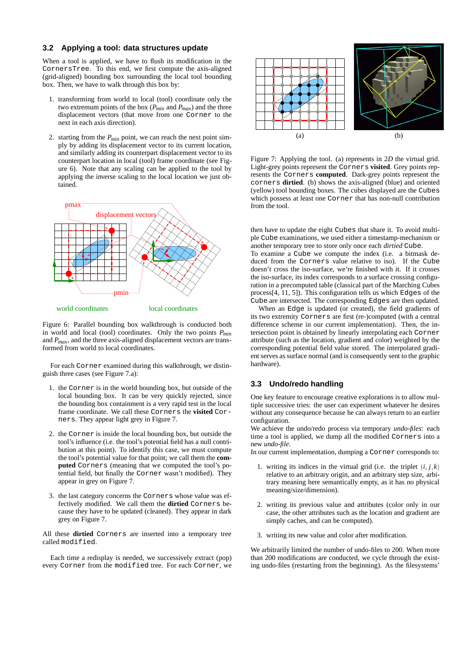#### **3.2 Applying a tool: data structures update**

When a tool is applied, we have to flush its modification in the CornersTree. To this end, we first compute the axis-aligned (grid-aligned) bounding box surrounding the local tool bounding box. Then, we have to walk through this box by:

- 1. transforming from world to local (tool) coordinate only the two extremum points of the box (*Pmin* and *Pmax*) and the three displacement vectors (that move from one Corner to the next in each axis direction).
- 2. starting from the *Pmin* point, we can reach the next point simply by adding its displacement vector to its current location, and similarly adding its counterpart displacement vector to its counterpart location in local (tool) frame coordinate (see Figure 6). Note that any scaling can be applied to the tool by applying the inverse scaling to the local location we just obtained.



Figure 6: Parallel bounding box walkthrough is conducted both in world and local (tool) coordinates. Only the two points *Pmin* and *Pmax*, and the three axis-aligned displacement vectors are transformed from world to local coordinates.

For each Corner examined during this walkthrough, we distinguish three cases (see Figure 7.a):

- 1. the Corner is in the world bounding box, but outside of the local bounding box. It can be very quickly rejected, since the bounding box containment is a very rapid test in the local frame coordinate. We call these Corners the **visited** Corners. They appear light grey in Figure 7.
- 2. the Corner is inside the local bounding box, but outside the tool's influence (i.e. the tool's potential field has a null contribution at this point). To identify this case, we must compute the tool's potential value for that point; we call them the **computed** Corners (meaning that we computed the tool's potential field, but finally the Corner wasn't modified). They appear in grey on Figure 7.
- 3. the last category concerns the Corners whose value was effectively modified. We call them the **dirtied** Corners because they have to be updated (cleaned). They appear in dark grey on Figure 7.

All these **dirtied** Corners are inserted into a temporary tree called modified.

Each time a redisplay is needed, we successively extract (pop) every Corner from the modified tree. For each Corner, we



Figure 7: Applying the tool. (a) represents in 2*D* the virtual grid. Light-grey points represent the Corners **visited**. Grey points represents the Corners **computed**. Dark-grey points represent the corners **dirtied**. (b) shows the axis-aligned (blue) and oriented (yellow) tool bounding boxes. The cubes displayed are the Cubes which possess at least one Corner that has non-null contribution from the tool.

then have to update the eight Cubes that share it. To avoid multiple Cube examinations, we used either a timestamp-mechanism or another temporary tree to store only once each *dirtied* Cube.

To examine a Cube we compute the index (i.e. a bitmask deduced from the Corners value relative to iso). If the Cube doesn't cross the iso-surface, we're finished with it. If it crosses the iso-surface, its index corresponds to a surface crossing configuration in a precomputed table (classical part of the Marching Cubes process[4, 11, 5]). This configuration tells us which Edges of the Cube are intersected. The corresponding Edges are then updated.

When an Edge is updated (or created), the field gradients of its two extremity Corners are first (re-)computed (with a central difference scheme in our current implementation). Then, the intersection point is obtained by linearly interpolating each Corner attribute (such as the location, gradient and color) weighted by the corresponding potential field value stored. The interpolated gradient serves as surface normal (and is consequently sent to the graphic hardware).

#### **3.3 Undo/redo handling**

One key feature to encourage creative explorations is to allow multiple successive tries: the user can experiment whatever he desires without any consequence because he can always return to an earlier configuration.

We achieve the undo/redo process via temporary *undo-files*: each time a tool is applied, we dump all the modified Corners into a new *undo-file*.

In our current implementation, dumping a Corner corresponds to:

- 1. writing its indices in the virtual grid (i.e. the triplet  $(i, j, k)$ ) relative to an arbitrary origin, and an arbitrary step size, arbitrary meaning here semantically empty, as it has no physical meaning/size/dimension).
- 2. writing its previous value and attributes (color only in our case, the other attributes such as the location and gradient are simply caches, and can be computed).
- 3. writing its new value and color after modification.

We arbitrarily limited the number of undo-files to 200. When more than 200 modifications are conducted, we cycle through the existing undo-files (restarting from the beginning). As the filesystems'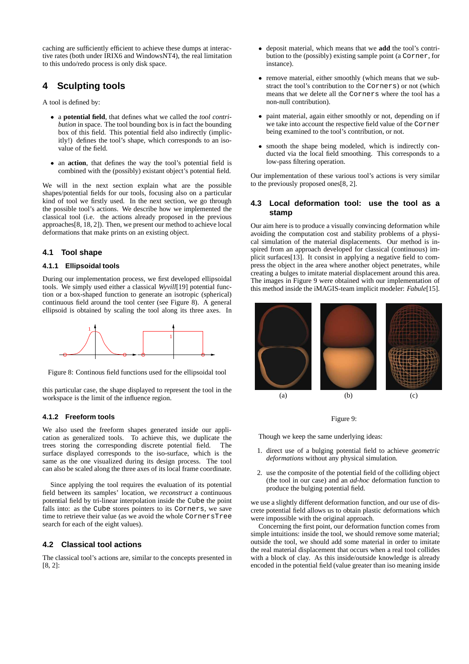caching are sufficiently efficient to achieve these dumps at interactive rates (both under IRIX6 and WindowsNT4), the real limitation to this undo/redo process is only disk space.

# **4 Sculpting tools**

A tool is defined by:

- a **potential field**, that defines what we called the *tool contribution* in space. The tool bounding box is in fact the bounding box of this field. This potential field also indirectly (implicitly!) defines the tool's shape, which corresponds to an isovalue of the field.
- an **action**, that defines the way the tool's potential field is combined with the (possibly) existant object's potential field.

We will in the next section explain what are the possible shapes/potential fields for our tools, focusing also on a particular kind of tool we firstly used. In the next section, we go through the possible tool's actions. We describe how we implemented the classical tool (i.e. the actions already proposed in the previous approaches[8, 18, 2]). Then, we present our method to achieve local deformations that make prints on an existing object.

#### **4.1 Tool shape**

#### **4.1.1 Ellipsoidal tools**

During our implementation process, we first developed ellipsoidal tools. We simply used either a classical *Wyvill*[19] potential function or a box-shaped function to generate an isotropic (spherical) continuous field around the tool center (see Figure 8). A general ellipsoid is obtained by scaling the tool along its three axes. In



Figure 8: Continous field functions used for the ellipsoidal tool

this particular case, the shape displayed to represent the tool in the workspace is the limit of the influence region.

#### **4.1.2 Freeform tools**

We also used the freeform shapes generated inside our application as generalized tools. To achieve this, we duplicate the trees storing the corresponding discrete potential field. The surface displayed corresponds to the iso-surface, which is the same as the one visualized during its design process. The tool can also be scaled along the three axes of its local frame coordinate.

Since applying the tool requires the evaluation of its potential field between its samples' location, we *reconstruct* a continuous potential field by tri-linear interpolation inside the Cube the point falls into: as the Cube stores pointers to its Corners, we save time to retrieve their value (as we avoid the whole CornersTree search for each of the eight values).

#### **4.2 Classical tool actions**

The classical tool's actions are, similar to the concepts presented in [8, 2]:

- deposit material, which means that we **add** the tool's contribution to the (possibly) existing sample point (a Corner, for instance).
- remove material, either smoothly (which means that we substract the tool's contribution to the Corners) or not (which means that we delete all the Corners where the tool has a non-null contribution).
- paint material, again either smoothly or not, depending on if we take into account the respective field value of the Corner being examined to the tool's contribution, or not.
- smooth the shape being modeled, which is indirectly conducted via the local field smoothing. This corresponds to a low-pass filtering operation.

Our implementation of these various tool's actions is very similar to the previously proposed ones[8, 2].

#### **4.3 Local deformation tool: use the tool as a stamp**

Our aim here is to produce a visually convincing deformation while avoiding the computation cost and stability problems of a physical simulation of the material displacements. Our method is inspired from an approach developed for classical (continuous) implicit surfaces[13]. It consist in applying a negative field to compress the object in the area where another object penetrates, while creating a bulges to imitate material displacement around this area. The images in Figure 9 were obtained with our implementation of this method inside the iMAGIS-team implicit modeler: *Fabule*[15].



#### Figure 9:

Though we keep the same underlying ideas:

- 1. direct use of a bulging potential field to achieve *geometric deformations* without any physical simulation.
- 2. use the composite of the potential field of the colliding object (the tool in our case) and an *ad-hoc* deformation function to produce the bulging potential field.

we use a slightly different deformation function, and our use of discrete potential field allows us to obtain plastic deformations which were impossible with the original approach.

Concerning the first point, our deformation function comes from simple intuitions: inside the tool, we should remove some material; outside the tool, we should add some material in order to imitate the real material displacement that occurs when a real tool collides with a block of clay. As this inside/outside knowledge is already encoded in the potential field (value greater than iso meaning inside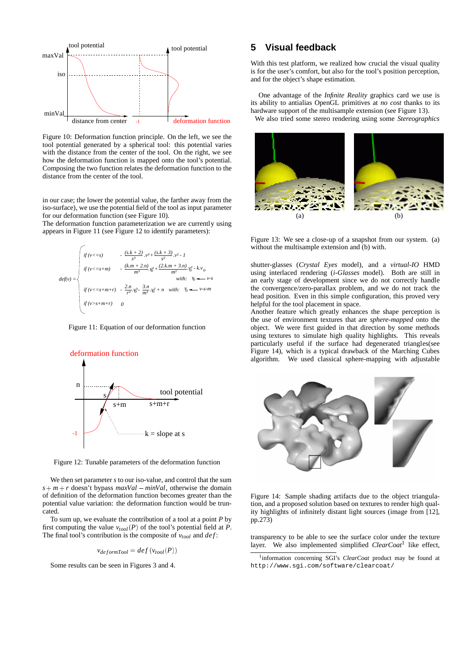

Figure 10: Deformation function principle. On the left, we see the tool potential generated by a spherical tool: this potential varies with the distance from the center of the tool. On the right, we see how the deformation function is mapped onto the tool's potential. Composing the two function relates the deformation function to the distance from the center of the tool.

in our case; the lower the potential value, the farther away from the iso-surface), we use the potential field of the tool as input parameter for our deformation function (see Figure 10).

The deformation function parameterization we are currently using appears in Figure 11 (see Figure 12 to identify parameters):



Figure 11: Equation of our deformation function



Figure 12: Tunable parameters of the deformation function

We then set parameter *s* to our iso-value, and control that the sum  $s + m + r$  doesn't bypass *maxVal* – *minVal*, otherwise the domain of definition of the deformation function becomes greater than the potential value variation: the deformation function would be truncated.

To sum up, we evaluate the contribution of a tool at a point *P* by first computing the value  $v_{tool}(P)$  of the tool's potential field at *P*. The final tool's contribution is the composite of  $v_{tool}$  and  $def$ :

$$
v_{deformPool} = def(v_{tool}(P))
$$

Some results can be seen in Figures 3 and 4.

## **5 Visual feedback**

With this test platform, we realized how crucial the visual quality is for the user's comfort, but also for the tool's position perception, and for the object's shape estimation.

One advantage of the *Infinite Reality* graphics card we use is its ability to antialias OpenGL primitives at *no cost* thanks to its hardware support of the multisample extension (see Figure 13). We also tried some stereo rendering using some *Stereographics*



Figure 13: We see a close-up of a snapshot from our system. (a) without the multisample extension and (b) with.

shutter-glasses (*Crystal Eyes* model), and a *virtual-IO* HMD using interlaced rendering (*i-Glasses* model). Both are still in an early stage of development since we do not correctly handle the convergence/zero-parallax problem, and we do not track the head position. Even in this simple configuration, this proved very helpful for the tool placement in space.

Another feature which greatly enhances the shape perception is the use of environment textures that are *sphere-mapped* onto the object. We were first guided in that direction by some methods using textures to simulate high quality highlights. This reveals particularly useful if the surface had degenerated triangles(see Figure 14), which is a typical drawback of the Marching Cubes algorithm. We used classical sphere-mapping with adjustable



Figure 14: Sample shading artifacts due to the object triangulation, and a proposed solution based on textures to render high quality highlights of infinitely distant light sources (image from [12], pp.273)

transparency to be able to see the surface color under the texture layer. We also implemented simplified *ClearCoat*<sup>1</sup> like effect,

<sup>1</sup>information concerning SGI's *ClearCoat* product may be found at http://www.sgi.com/software/clearcoat/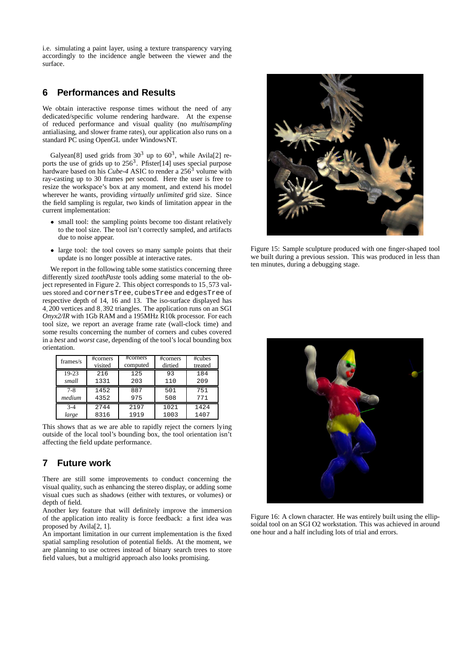i.e. simulating a paint layer, using a texture transparency varying accordingly to the incidence angle between the viewer and the surface.

## **6 Performances and Results**

We obtain interactive response times without the need of any dedicated/specific volume rendering hardware. At the expense of reduced performance and visual quality (no *multisampling* antialiasing, and slower frame rates), our application also runs on a standard PC using OpenGL under WindowsNT.

Galyean<sup>[8]</sup> used grids from  $30<sup>3</sup>$  up to  $60<sup>3</sup>$ , while Avila<sup>[2]</sup> reports the use of grids up to  $256<sup>3</sup>$ . Pfister[14] uses special purpose hardware based on his *Cube-4* ASIC to render a 256<sup>3</sup> volume with ray-casting up to 30 frames per second. Here the user is free to resize the workspace's box at any moment, and extend his model wherever he wants, providing *virtually unlimited* grid size. Since the field sampling is regular, two kinds of limitation appear in the current implementation:

- small tool: the sampling points become too distant relatively to the tool size. The tool isn't correctly sampled, and artifacts due to noise appear.
- large tool: the tool covers so many sample points that their update is no longer possible at interactive rates.

We report in the following table some statistics concerning three differently sized *toothPaste* tools adding some material to the object represented in Figure 2. This object corresponds to 15,573 values stored and cornersTree, cubesTree and edgesTree of respective depth of 14, 16 and 13. The iso-surface displayed has 4; 200 vertices and 8; 392 triangles. The application runs on an SGI *Onyx2/IR* with 1Gb RAM and a 195MHz R10k processor. For each tool size, we report an average frame rate (wall-clock time) and some results concerning the number of corners and cubes covered in a *best* and *worst* case, depending of the tool's local bounding box orientation.

| frames/s | #corners | #corners | #corners | #cubes  |
|----------|----------|----------|----------|---------|
|          | visited  | computed | dirtied  | treated |
| 19-23    | 216      | 125      | 93       | 184     |
| small    | 1331     | 203      | 110      | 209     |
| $7 - 8$  | 1452     | 887      | 501      | 751     |
| medium   | 4352     | 975      | 508      | 771     |
| $3-4$    | 2744     | 2197     | 1021     | 1424    |
| large    | 8316     | 1919     | 1003     | 1407    |

This shows that as we are able to rapidly reject the corners lying outside of the local tool's bounding box, the tool orientation isn't affecting the field update performance.

## **7 Future work**

There are still some improvements to conduct concerning the visual quality, such as enhancing the stereo display, or adding some visual cues such as shadows (either with textures, or volumes) or depth of field.

Another key feature that will definitely improve the immersion of the application into reality is force feedback: a first idea was proposed by Avila[2, 1].

An important limitation in our current implementation is the fixed spatial sampling resolution of potential fields. At the moment, we are planning to use octrees instead of binary search trees to store field values, but a multigrid approach also looks promising.



Figure 15: Sample sculpture produced with one finger-shaped tool we built during a previous session. This was produced in less than ten minutes, during a debugging stage.



Figure 16: A clown character. He was entirely built using the ellipsoidal tool on an SGI O2 workstation. This was achieved in around one hour and a half including lots of trial and errors.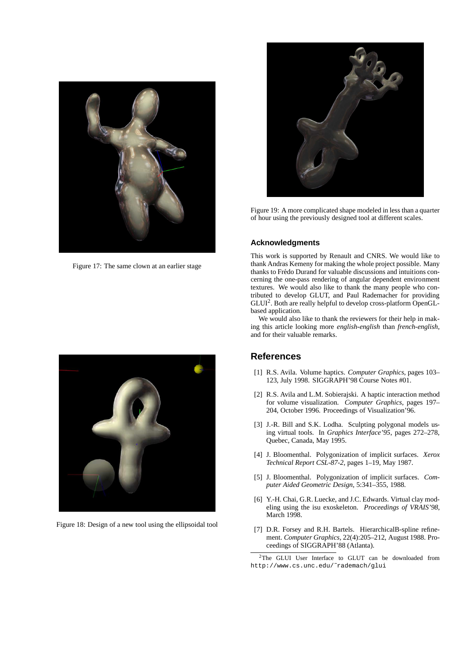

Figure 17: The same clown at an earlier stage



Figure 18: Design of a new tool using the ellipsoidal tool



Figure 19: A more complicated shape modeled in less than a quarter of hour using the previously designed tool at different scales.

## **Acknowledgments**

This work is supported by Renault and CNRS. We would like to thank Andras Kemeny for making the whole project possible. Many thanks to Frédo Durand for valuable discussions and intuitions concerning the one-pass rendering of angular dependent environment textures. We would also like to thank the many people who contributed to develop GLUT, and Paul Rademacher for providing GLUI<sup>2</sup>. Both are really helpful to develop cross-platform OpenGLbased application.

We would also like to thank the reviewers for their help in making this article looking more *english-english* than *french-english*, and for their valuable remarks.

## **References**

- [1] R.S. Avila. Volume haptics. *Computer Graphics*, pages 103– 123, July 1998. SIGGRAPH'98 Course Notes #01.
- [2] R.S. Avila and L.M. Sobierajski. A haptic interaction method for volume visualization. *Computer Graphics*, pages 197– 204, October 1996. Proceedings of Visualization'96.
- [3] J.-R. Bill and S.K. Lodha. Sculpting polygonal models using virtual tools. In *Graphics Interface'95*, pages 272–278, Quebec, Canada, May 1995.
- [4] J. Bloomenthal. Polygonization of implicit surfaces. *Xerox Technical Report CSL-87-2*, pages 1–19, May 1987.
- [5] J. Bloomenthal. Polygonization of implicit surfaces. *Computer Aided Geometric Design*, 5:341–355, 1988.
- [6] Y.-H. Chai, G.R. Luecke, and J.C. Edwards. Virtual clay modeling using the isu exoskeleton. *Proceedings of VRAIS'98*, March 1998.
- [7] D.R. Forsey and R.H. Bartels. HierarchicalB-spline refinement. *Computer Graphics*, 22(4):205–212, August 1988. Proceedings of SIGGRAPH'88 (Atlanta).

<sup>2</sup>The GLUI User Interface to GLUT can be downloaded from http://www.cs.unc.edu/˜rademach/glui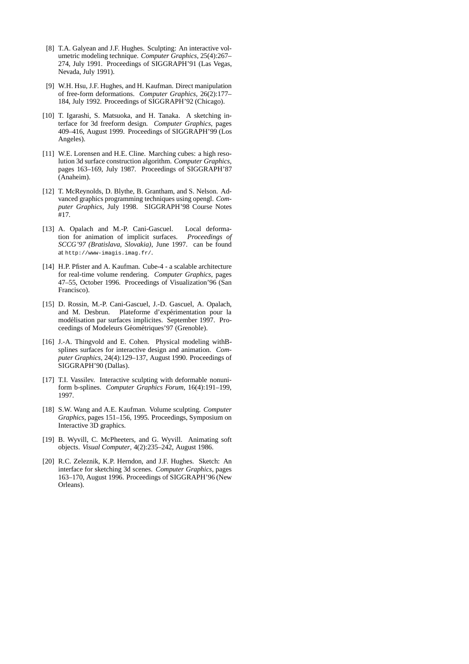- [8] T.A. Galyean and J.F. Hughes. Sculpting: An interactive volumetric modeling technique. *Computer Graphics*, 25(4):267– 274, July 1991. Proceedings of SIGGRAPH'91 (Las Vegas, Nevada, July 1991).
- [9] W.H. Hsu, J.F. Hughes, and H. Kaufman. Direct manipulation of free-form deformations. *Computer Graphics*, 26(2):177– 184, July 1992. Proceedings of SIGGRAPH'92 (Chicago).
- [10] T. Igarashi, S. Matsuoka, and H. Tanaka. A sketching interface for 3d freeform design. *Computer Graphics*, pages 409–416, August 1999. Proceedings of SIGGRAPH'99 (Los Angeles).
- [11] W.E. Lorensen and H.E. Cline. Marching cubes: a high resolution 3d surface construction algorithm. *Computer Graphics*, pages 163–169, July 1987. Proceedings of SIGGRAPH'87 (Anaheim).
- [12] T. McReynolds, D. Blythe, B. Grantham, and S. Nelson. Advanced graphics programming techniques using opengl. *Computer Graphics*, July 1998. SIGGRAPH'98 Course Notes #17.
- [13] A. Opalach and M.-P. Cani-Gascuel. Local deformation for animation of implicit surfaces. *Proceedings of SCCG'97 (Bratislava, Slovakia)*, June 1997. can be found at http://www-imagis.imag.fr/.
- [14] H.P. Pfister and A. Kaufman. Cube-4 a scalable architecture for real-time volume rendering. *Computer Graphics*, pages 47–55, October 1996. Proceedings of Visualization'96 (San Francisco).
- [15] D. Rossin, M.-P. Cani-Gascuel, J.-D. Gascuel, A. Opalach, and M. Desbrun. Plateforme d'expérimentation pour la modélisation par surfaces implicites. September 1997. Proceedings of Modeleurs Géométriques'97 (Grenoble).
- [16] J.-A. Thingvold and E. Cohen. Physical modeling withBsplines surfaces for interactive design and animation. *Computer Graphics*, 24(4):129–137, August 1990. Proceedings of SIGGRAPH'90 (Dallas).
- [17] T.I. Vassilev. Interactive sculpting with deformable nonuniform b-splines. *Computer Graphics Forum*, 16(4):191–199, 1997.
- [18] S.W. Wang and A.E. Kaufman. Volume sculpting. *Computer Graphics*, pages 151–156, 1995. Proceedings, Symposium on Interactive 3D graphics.
- [19] B. Wyvill, C. McPheeters, and G. Wyvill. Animating soft objects. *Visual Computer*, 4(2):235–242, August 1986.
- [20] R.C. Zeleznik, K.P. Herndon, and J.F. Hughes. Sketch: An interface for sketching 3d scenes. *Computer Graphics*, pages 163–170, August 1996. Proceedings of SIGGRAPH'96 (New Orleans).